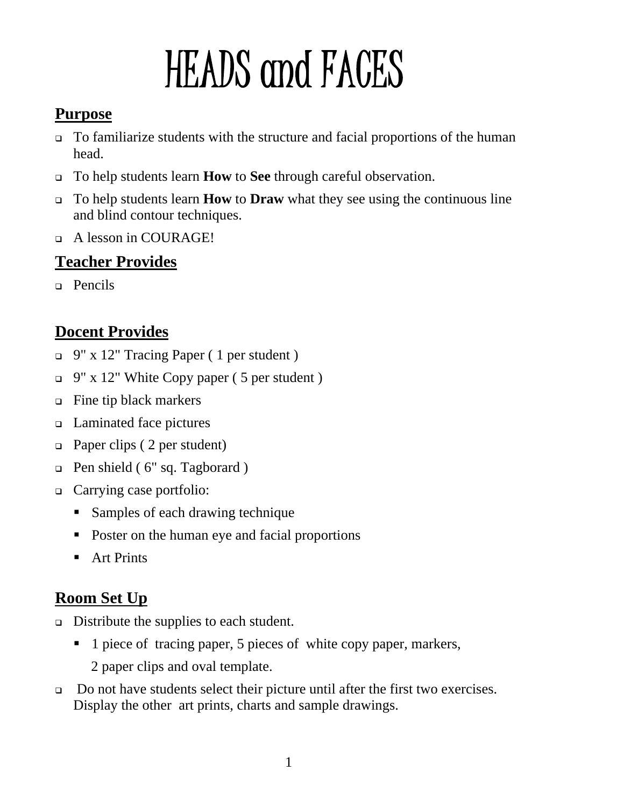# HEADS and FACES

## **Purpose**

- To familiarize students with the structure and facial proportions of the human head.
- To help students learn **How** to **See** through careful observation.
- To help students learn **How** to **Draw** what they see using the continuous line and blind contour techniques.
- A lesson in COURAGE!

## **Teacher Provides**

**Pencils** 

## **Docent Provides**

- 9" x 12" Tracing Paper ( 1 per student )
- $\Box$  9" x 12" White Copy paper (5 per student)
- Fine tip black markers
- Laminated face pictures
- □ Paper clips (2 per student)
- Pen shield ( 6" sq. Tagborard )
- □ Carrying case portfolio:
	- **Samples of each drawing technique**
	- Poster on the human eye and facial proportions
	- Art Prints

## **Room Set Up**

- Distribute the supplies to each student.
	- 1 piece of tracing paper, 5 pieces of white copy paper, markers, 2 paper clips and oval template.
- □ Do not have students select their picture until after the first two exercises. Display the other art prints, charts and sample drawings.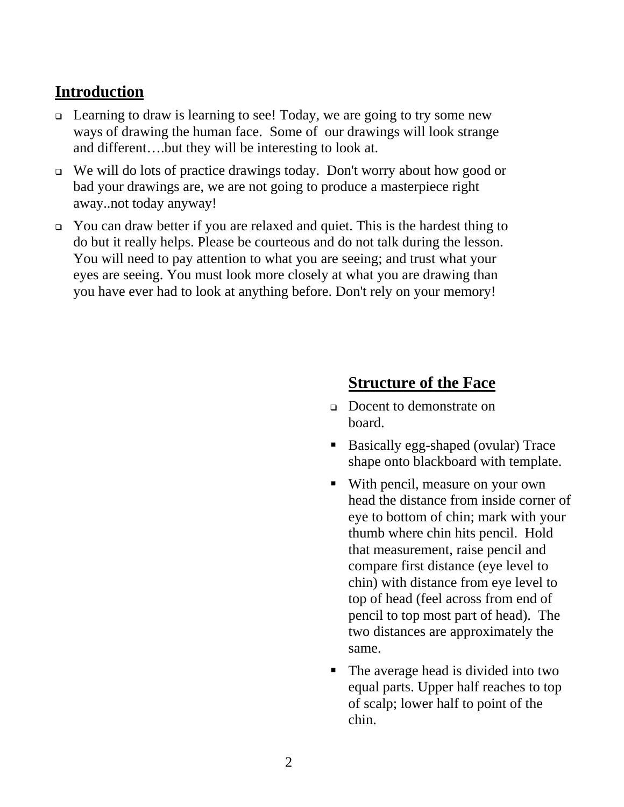## **Introduction**

- Learning to draw is learning to see! Today, we are going to try some new ways of drawing the human face. Some of our drawings will look strange and different….but they will be interesting to look at.
- We will do lots of practice drawings today. Don't worry about how good or bad your drawings are, we are not going to produce a masterpiece right away..not today anyway!
- You can draw better if you are relaxed and quiet. This is the hardest thing to do but it really helps. Please be courteous and do not talk during the lesson. You will need to pay attention to what you are seeing; and trust what your eyes are seeing. You must look more closely at what you are drawing than you have ever had to look at anything before. Don't rely on your memory!

## **Structure of the Face**

- Docent to demonstrate on board.
- Basically egg-shaped (ovular) Trace shape onto blackboard with template.
- With pencil, measure on your own head the distance from inside corner of eye to bottom of chin; mark with your thumb where chin hits pencil. Hold that measurement, raise pencil and compare first distance (eye level to chin) with distance from eye level to top of head (feel across from end of pencil to top most part of head). The two distances are approximately the same.
- The average head is divided into two equal parts. Upper half reaches to top of scalp; lower half to point of the chin.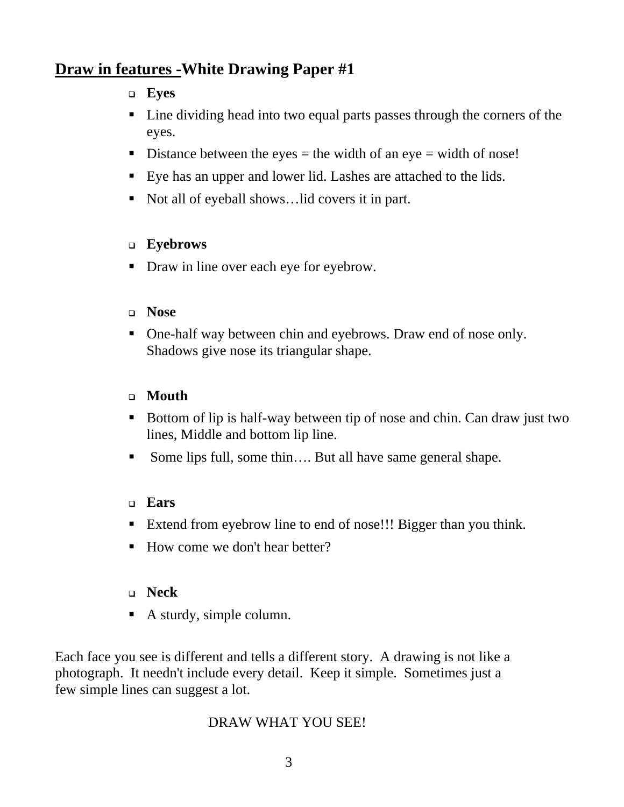## **Draw in features -White Drawing Paper #1**

#### **Eyes**

- Line dividing head into two equal parts passes through the corners of the eyes.
- Distance between the eyes  $=$  the width of an eye  $=$  width of nose!
- Eye has an upper and lower lid. Lashes are attached to the lids.
- Not all of eyeball shows... lid covers it in part.

#### **Eyebrows**

• Draw in line over each eye for eyebrow.

#### **Nose**

• One-half way between chin and eyebrows. Draw end of nose only. Shadows give nose its triangular shape.

#### **Mouth**

- Bottom of lip is half-way between tip of nose and chin. Can draw just two lines, Middle and bottom lip line.
- Some lips full, some thin…. But all have same general shape.

#### **Ears**

- Extend from eyebrow line to end of nose!!! Bigger than you think.
- How come we don't hear better?

#### **Neck**

A sturdy, simple column.

Each face you see is different and tells a different story. A drawing is not like a photograph. It needn't include every detail. Keep it simple. Sometimes just a few simple lines can suggest a lot.

#### DRAW WHAT YOU SEE!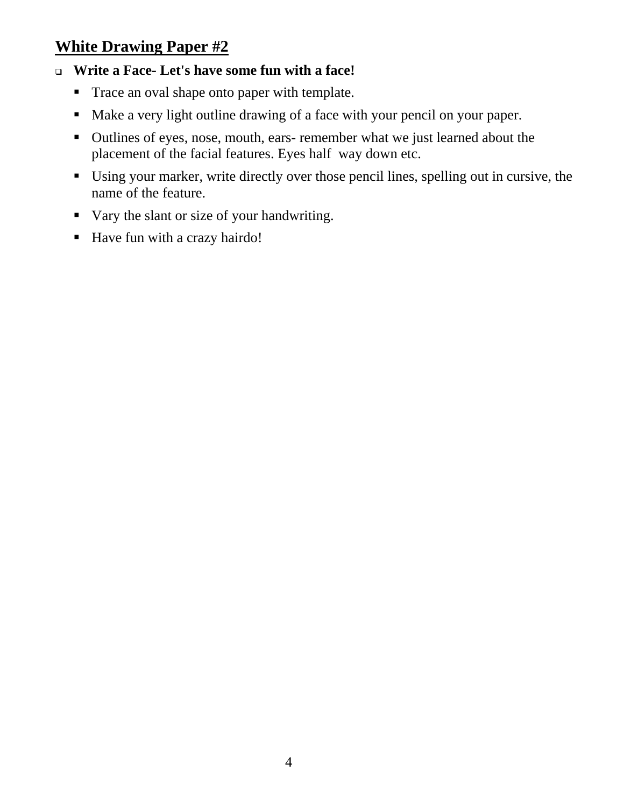## **White Drawing Paper #2**

## **Write a Face- Let's have some fun with a face!**

- Trace an oval shape onto paper with template.
- Make a very light outline drawing of a face with your pencil on your paper.
- Outlines of eyes, nose, mouth, ears- remember what we just learned about the placement of the facial features. Eyes half way down etc.
- Using your marker, write directly over those pencil lines, spelling out in cursive, the name of the feature.
- Vary the slant or size of your handwriting.
- Have fun with a crazy hairdo!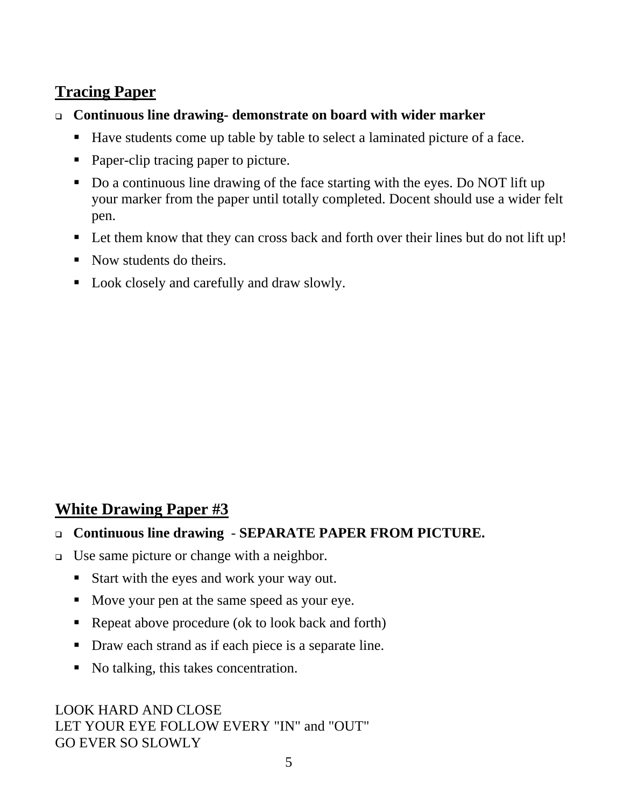## **Tracing Paper**

- **Continuous line drawing- demonstrate on board with wider marker** 
	- Have students come up table by table to select a laminated picture of a face.
	- Paper-clip tracing paper to picture.
	- Do a continuous line drawing of the face starting with the eyes. Do NOT lift up your marker from the paper until totally completed. Docent should use a wider felt pen.
	- Let them know that they can cross back and forth over their lines but do not lift up!
	- Now students do theirs.
	- Look closely and carefully and draw slowly.

## **White Drawing Paper #3**

#### **Continuous line drawing** - **SEPARATE PAPER FROM PICTURE.**

- Use same picture or change with a neighbor.
	- Start with the eyes and work your way out.
	- Move your pen at the same speed as your eye.
	- Repeat above procedure (ok to look back and forth)
	- Draw each strand as if each piece is a separate line.
	- No talking, this takes concentration.

LOOK HARD AND CLOSE LET YOUR EYE FOLLOW EVERY "IN" and "OUT" GO EVER SO SLOWLY